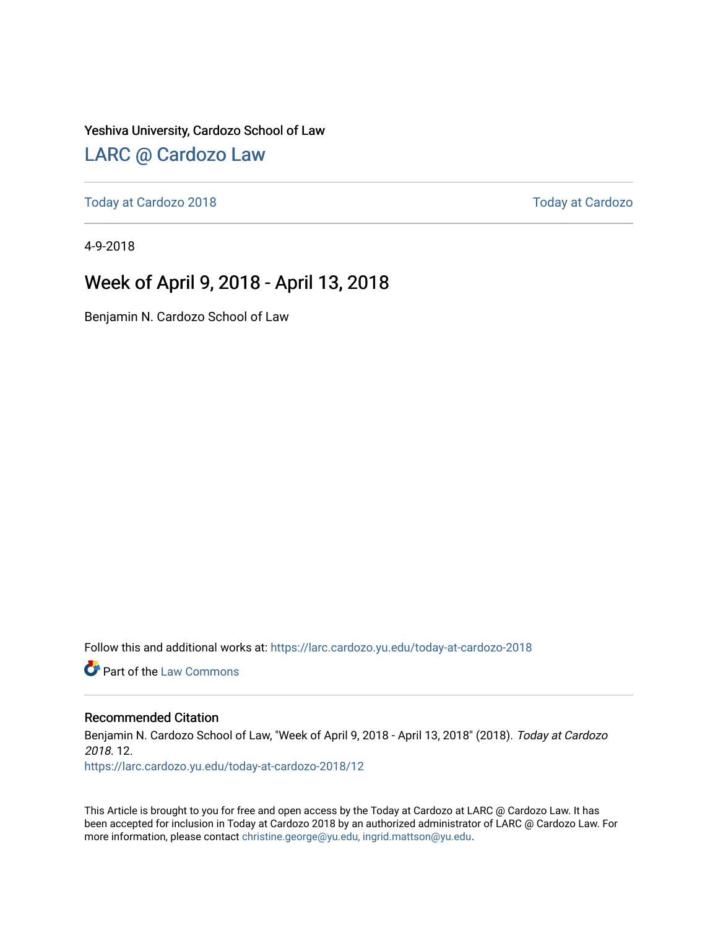### Yeshiva University, Cardozo School of Law

## [LARC @ Cardozo Law](https://larc.cardozo.yu.edu/)

[Today at Cardozo 2018](https://larc.cardozo.yu.edu/today-at-cardozo-2018) [Today at Cardozo](https://larc.cardozo.yu.edu/today-at-cardozo) 

4-9-2018

## Week of April 9, 2018 - April 13, 2018

Benjamin N. Cardozo School of Law

Follow this and additional works at: [https://larc.cardozo.yu.edu/today-at-cardozo-2018](https://larc.cardozo.yu.edu/today-at-cardozo-2018?utm_source=larc.cardozo.yu.edu%2Ftoday-at-cardozo-2018%2F12&utm_medium=PDF&utm_campaign=PDFCoverPages)

**C** Part of the [Law Commons](http://network.bepress.com/hgg/discipline/578?utm_source=larc.cardozo.yu.edu%2Ftoday-at-cardozo-2018%2F12&utm_medium=PDF&utm_campaign=PDFCoverPages)

### Recommended Citation

Benjamin N. Cardozo School of Law, "Week of April 9, 2018 - April 13, 2018" (2018). Today at Cardozo 2018. 12.

[https://larc.cardozo.yu.edu/today-at-cardozo-2018/12](https://larc.cardozo.yu.edu/today-at-cardozo-2018/12?utm_source=larc.cardozo.yu.edu%2Ftoday-at-cardozo-2018%2F12&utm_medium=PDF&utm_campaign=PDFCoverPages) 

This Article is brought to you for free and open access by the Today at Cardozo at LARC @ Cardozo Law. It has been accepted for inclusion in Today at Cardozo 2018 by an authorized administrator of LARC @ Cardozo Law. For more information, please contact [christine.george@yu.edu, ingrid.mattson@yu.edu](mailto:christine.george@yu.edu,%20ingrid.mattson@yu.edu).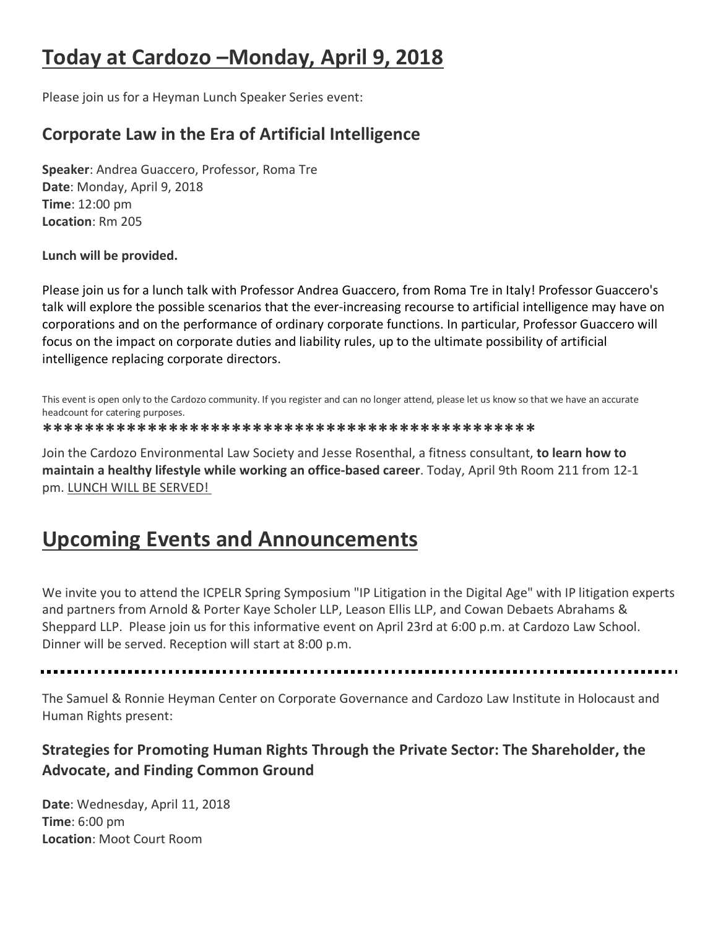# **Today at Cardozo –Monday, April 9, 2018**

Please join us for a Heyman Lunch Speaker Series event:

## **Corporate Law in the Era of Artificial Intelligence**

**Speaker**: Andrea Guaccero, Professor, Roma Tre **Date**: Monday, April 9, 2018 **Time**: 12:00 pm **Location**: Rm 205

**Lunch will be provided.**

Please join us for a lunch talk with Professor Andrea Guaccero, from Roma Tre in Italy! Professor Guaccero's talk will explore the possible scenarios that the ever-increasing recourse to artificial intelligence may have on corporations and on the performance of ordinary corporate functions. In particular, Professor Guaccero will focus on the impact on corporate duties and liability rules, up to the ultimate possibility of artificial intelligence replacing corporate directors.

This event is open only to the Cardozo community. If you register and can no longer attend, please let us know so that we have an accurate headcount for catering purposes.

**\*\*\*\*\*\*\*\*\*\*\*\*\*\*\*\*\*\*\*\*\*\*\*\*\*\*\*\*\*\*\*\*\*\*\*\*\*\*\*\*\*\*\*\*\*\*\***

Join the Cardozo Environmental Law Society and Jesse Rosenthal, a fitness consultant, **to learn how to maintain a healthy lifestyle while working an office-based career**. Today, April 9th Room 211 from 12-1 pm. LUNCH WILL BE SERVED!

# **Upcoming Events and Announcements**

We invite you to attend the ICPELR Spring Symposium "IP Litigation in the Digital Age" with IP litigation experts and partners from Arnold & Porter Kaye Scholer LLP, Leason Ellis LLP, and Cowan Debaets Abrahams & Sheppard LLP. Please join us for this informative event on April 23rd at 6:00 p.m. at Cardozo Law School. Dinner will be served. Reception will start at 8:00 p.m.

The Samuel & Ronnie Heyman Center on Corporate Governance and Cardozo Law Institute in Holocaust and Human Rights present:

## **Strategies for Promoting Human Rights Through the Private Sector: The Shareholder, the Advocate, and Finding Common Ground**

**Date**: Wednesday, April 11, 2018 **Time**: 6:00 pm **Location**: Moot Court Room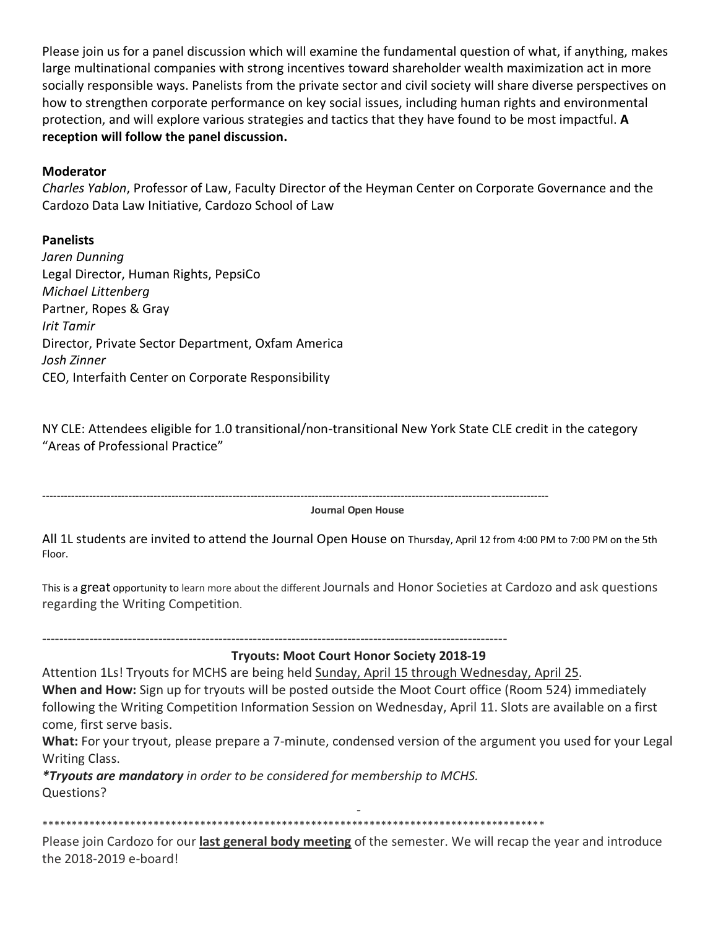Please join us for a panel discussion which will examine the fundamental question of what, if anything, makes large multinational companies with strong incentives toward shareholder wealth maximization act in more socially responsible ways. Panelists from the private sector and civil society will share diverse perspectives on how to strengthen corporate performance on key social issues, including human rights and environmental protection, and will explore various strategies and tactics that they have found to be most impactful. **A reception will follow the panel discussion.**

### **Moderator**

*Charles Yablon*, Professor of Law, Faculty Director of the Heyman Center on Corporate Governance and the Cardozo Data Law Initiative, Cardozo School of Law

### **Panelists**

*Jaren Dunning* Legal Director, Human Rights, PepsiCo *Michael Littenberg* Partner, Ropes & Gray *Irit Tamir* Director, Private Sector Department, Oxfam America *Josh Zinner* CEO, Interfaith Center on Corporate Responsibility

NY CLE: Attendees eligible for 1.0 transitional/non-transitional New York State CLE credit in the category "Areas of Professional Practice"

---------------------------------------------------------------------------------------------------------------------------------------------

**Journal Open House**

All 1L students are invited to attend the Journal Open House on Thursday, April 12 from 4:00 PM to 7:00 PM on the 5th Floor.

This is a great opportunity to learn more about the different Journals and Honor Societies at Cardozo and ask questions regarding the Writing Competition.

------------------------------------------------------------------------------------------------------------

**Tryouts: Moot Court Honor Society 2018-19**

Attention 1Ls! Tryouts for MCHS are being held Sunday, April 15 through Wednesday, April 25. **When and How:** Sign up for tryouts will be posted outside the Moot Court office (Room 524) immediately following the Writing Competition Information Session on Wednesday, April 11. Slots are available on a first come, first serve basis.

**What:** For your tryout, please prepare a 7-minute, condensed version of the argument you used for your Legal Writing Class.

*\*Tryouts are mandatory in order to be considered for membership to MCHS.* Questions?

- \*\*\*\*\*\*\*\*\*\*\*\*\*\*\*\*\*\*\*\*\*\*\*\*\*\*\*\*\*\*\*\*\*\*\*\*\*\*\*\*\*\*\*\*\*\*\*\*\*\*\*\*\*\*\*\*\*\*\*\*\*\*\*\*\*\*\*\*\*\*\*\*\*\*\*\*\*\*\*\*\*\*\*\*\*\*

Please join Cardozo for our **last general body meeting** of the semester. We will recap the year and introduce the 2018-2019 e-board!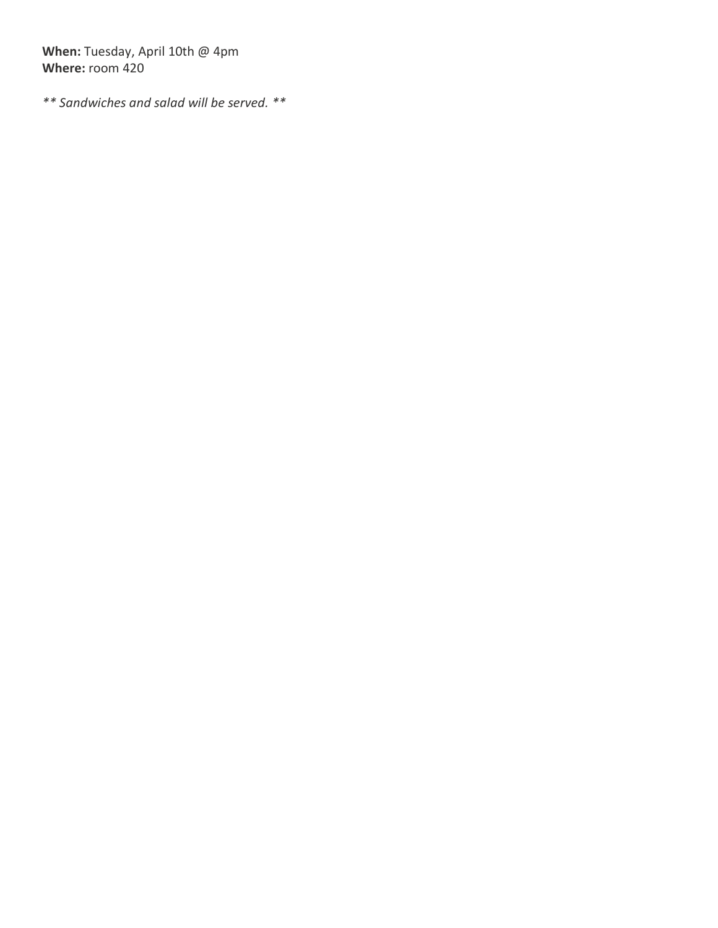**When:** Tuesday, April 10th @ 4pm **Where:** room 420

*\*\* Sandwiches and salad will be served. \*\**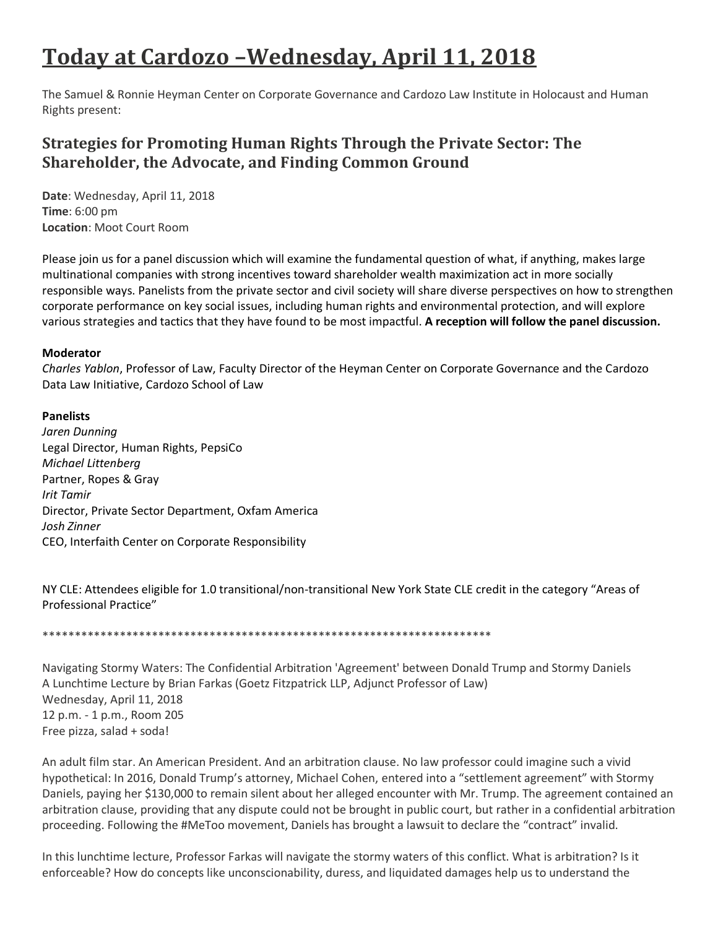# **Today at Cardozo –Wednesday, April 11, 2018**

The Samuel & Ronnie Heyman Center on Corporate Governance and Cardozo Law Institute in Holocaust and Human Rights present:

## **Strategies for Promoting Human Rights Through the Private Sector: The Shareholder, the Advocate, and Finding Common Ground**

**Date**: Wednesday, April 11, 2018 **Time**: 6:00 pm **Location**: Moot Court Room

Please join us for a panel discussion which will examine the fundamental question of what, if anything, makes large multinational companies with strong incentives toward shareholder wealth maximization act in more socially responsible ways. Panelists from the private sector and civil society will share diverse perspectives on how to strengthen corporate performance on key social issues, including human rights and environmental protection, and will explore various strategies and tactics that they have found to be most impactful. **A reception will follow the panel discussion.**

### **Moderator**

*Charles Yablon*, Professor of Law, Faculty Director of the Heyman Center on Corporate Governance and the Cardozo Data Law Initiative, Cardozo School of Law

### **Panelists**

*Jaren Dunning* Legal Director, Human Rights, PepsiCo *Michael Littenberg* Partner, Ropes & Gray *Irit Tamir* Director, Private Sector Department, Oxfam America *Josh Zinner* CEO, Interfaith Center on Corporate Responsibility

NY CLE: Attendees eligible for 1.0 transitional/non-transitional New York State CLE credit in the category "Areas of Professional Practice"

\*\*\*\*\*\*\*\*\*\*\*\*\*\*\*\*\*\*\*\*\*\*\*\*\*\*\*\*\*\*\*\*\*\*\*\*\*\*\*\*\*\*\*\*\*\*\*\*\*\*\*\*\*\*\*\*\*\*\*\*\*\*\*\*\*\*\*\*\*\*

Navigating Stormy Waters: The Confidential Arbitration 'Agreement' between Donald Trump and Stormy Daniels A Lunchtime Lecture by Brian Farkas (Goetz Fitzpatrick LLP, Adjunct Professor of Law) Wednesday, April 11, 2018 12 p.m. - 1 p.m., Room 205 Free pizza, salad + soda!

An adult film star. An American President. And an arbitration clause. No law professor could imagine such a vivid hypothetical: In 2016, Donald Trump's attorney, Michael Cohen, entered into a "settlement agreement" with Stormy Daniels, paying her \$130,000 to remain silent about her alleged encounter with Mr. Trump. The agreement contained an arbitration clause, providing that any dispute could not be brought in public court, but rather in a confidential arbitration proceeding. Following the #MeToo movement, Daniels has brought a lawsuit to declare the "contract" invalid.

In this lunchtime lecture, Professor Farkas will navigate the stormy waters of this conflict. What is arbitration? Is it enforceable? How do concepts like unconscionability, duress, and liquidated damages help us to understand the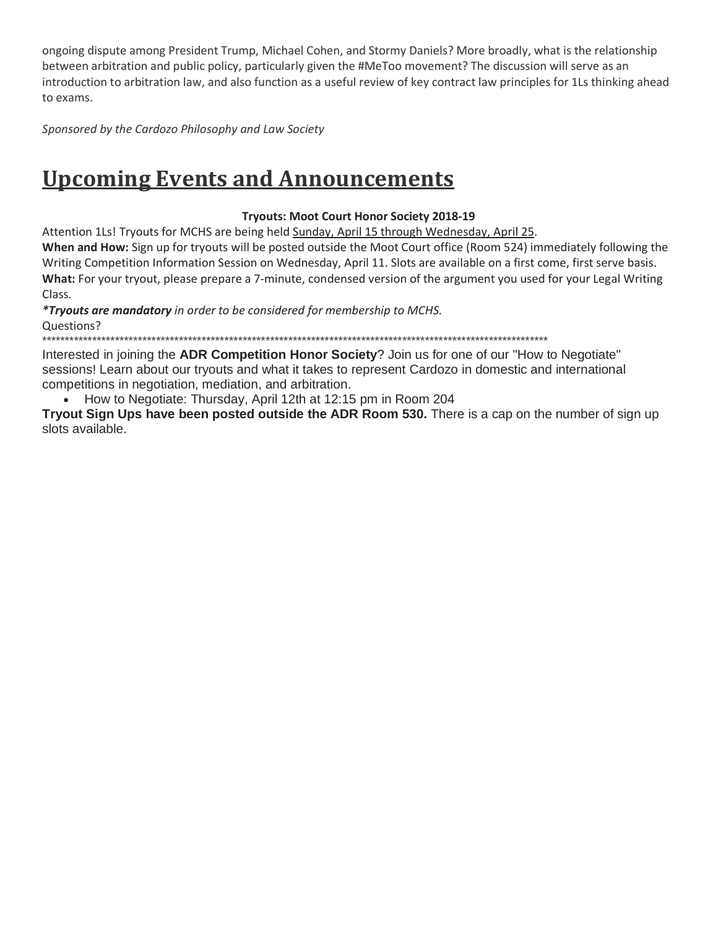ongoing dispute among President Trump, Michael Cohen, and Stormy Daniels? More broadly, what is the relationship between arbitration and public policy, particularly given the #MeToo movement? The discussion will serve as an introduction to arbitration law, and also function as a useful review of key contract law principles for 1Ls thinking ahead to exams.

*Sponsored by the Cardozo Philosophy and Law Society*

# **Upcoming Events and Announcements**

### **Tryouts: Moot Court Honor Society 2018-19**

Attention 1Ls! Tryouts for MCHS are being held Sunday, April 15 through Wednesday, April 25.

**When and How:** Sign up for tryouts will be posted outside the Moot Court office (Room 524) immediately following the Writing Competition Information Session on Wednesday, April 11. Slots are available on a first come, first serve basis. **What:** For your tryout, please prepare a 7-minute, condensed version of the argument you used for your Legal Writing Class.

*\*Tryouts are mandatory in order to be considered for membership to MCHS.* Questions?

\*\*\*\*\*\*\*\*\*\*\*\*\*\*\*\*\*\*\*\*\*\*\*\*\*\*\*\*\*\*\*\*\*\*\*\*\*\*\*\*\*\*\*\*\*\*\*\*\*\*\*\*\*\*\*\*\*\*\*\*\*\*\*\*\*\*\*\*\*\*\*\*\*\*\*\*\*\*\*\*\*\*\*\*\*\*\*\*\*\*\*\*\*\*\*\*\*\*\*\*\*\*\*\*\*\*\*\*\*\*\*

Interested in joining the **ADR Competition Honor Society**? Join us for one of our "How to Negotiate" sessions! Learn about our tryouts and what it takes to represent Cardozo in domestic and international competitions in negotiation, mediation, and arbitration.

• How to Negotiate: Thursday, April 12th at 12:15 pm in Room 204

**Tryout Sign Ups have been posted outside the ADR Room 530.** There is a cap on the number of sign up slots available.